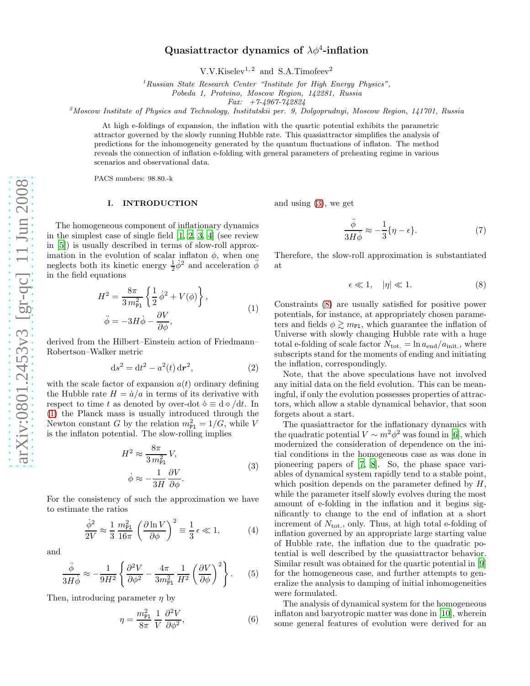# Quasiattractor dynamics of  $\lambda \phi^4$ -inflation

 $V.V.Kiselev<sup>1, 2</sup>$  and S.A.Timofeev<sup>2</sup>

<sup>1</sup>*Russian State Research Center "Institute for High Energy Physics",*

*Pobeda 1, Protvino, Moscow Region, 142281, Russia*

*Fax: +7-4967-742824*

<sup>2</sup>*Moscow Institute of Physics and Technology, Institutskii per. 9, Dolgoprudnyi, Moscow Region, 141701, Russia*

At high e-foldings of expansion, the inflation with the quartic potential exhibits the parametric attractor governed by the slowly running Hubble rate. This quasiattractor simplifies the analysis of predictions for the inhomogeneity generated by the quantum fluctuations of inflaton. The method reveals the connection of inflation e-folding with general parameters of preheating regime in various scenarios and observational data.

PACS numbers: 98.80.-k

## I. INTRODUCTION

The homogeneous component of inflationary dynamics in the simplest case of single field [\[1,](#page-7-0) [2,](#page-7-1) [3,](#page-7-2) [4\]](#page-7-3) (see review in [\[5\]](#page-7-4)) is usually described in terms of slow-roll approximation in the evolution of scalar inflaton  $\phi$ , when one neglects both its kinetic energy  $\frac{1}{2}\dot{\phi}^2$  and acceleration  $\ddot{\phi}$ in the field equations

<span id="page-0-0"></span>
$$
H^{2} = \frac{8\pi}{3 m_{\text{Pl}}^{2}} \left\{ \frac{1}{2} \dot{\phi}^{2} + V(\phi) \right\},
$$
  

$$
\ddot{\phi} = -3H\dot{\phi} - \frac{\partial V}{\partial \phi},
$$
 (1)

derived from the Hilbert–Einstein action of Friedmann– Robertson–Walker metric

$$
ds^{2} = dt^{2} - a^{2}(t) dr^{2},
$$
 (2)

with the scale factor of expansion  $a(t)$  ordinary defining the Hubble rate  $H = \dot{a}/a$  in terms of its derivative with respect to time t as denoted by over-dot  $\dot{\diamond} \equiv d \diamond / dt$ . In [\(1\)](#page-0-0) the Planck mass is usually introduced through the Newton constant G by the relation  $m_{\text{Pl}}^2 = 1/G$ , while V is the inflaton potential. The slow-rolling implies

<span id="page-0-1"></span>
$$
H^{2} \approx \frac{8\pi}{3 m_{\rm Pl}^{2}} V,
$$
  
\n
$$
\dot{\phi} \approx -\frac{1}{3H} \frac{\partial V}{\partial \phi}.
$$
\n(3)

For the consistency of such the approximation we have to estimate the ratios

$$
\frac{\dot{\phi}^2}{2V} \approx \frac{1}{3} \frac{m_{\rm Pl}^2}{16\pi} \left(\frac{\partial \ln V}{\partial \phi}\right)^2 \equiv \frac{1}{3} \epsilon \ll 1,
$$
 (4)

and

$$
\frac{\ddot{\phi}}{3H\dot{\phi}} \approx -\frac{1}{9H^2} \left\{ \frac{\partial^2 V}{\partial \phi^2} - \frac{4\pi}{3m_{\rm Pl}^2} \frac{1}{H^2} \left( \frac{\partial V}{\partial \phi} \right)^2 \right\}.
$$
 (5)

Then, introducing parameter  $\eta$  by

$$
\eta = \frac{m_{\rm Pl}^2}{8\pi} \frac{1}{V} \frac{\partial^2 V}{\partial \phi^2},\tag{6}
$$

and using [\(3\)](#page-0-1), we get

$$
\frac{\ddot{\phi}}{3H\dot{\phi}} \approx -\frac{1}{3}\{\eta - \epsilon\}.
$$
 (7)

Therefore, the slow-roll approximation is substantiated at

> <span id="page-0-2"></span> $\epsilon \ll 1, \quad |\eta| \ll 1$ . (8)

Constraints [\(8\)](#page-0-2) are usually satisfied for positive power potentials, for instance, at appropriately chosen parameters and fields  $\phi \gtrsim m_{\text{Pl}}$ , which guarantee the inflation of Universe with slowly changing Hubble rate with a huge total e-folding of scale factor  $N_{\text{tot.}} = \ln a_{\text{end}}/a_{\text{init.}}$ , where subscripts stand for the moments of ending and initiating the inflation, correspondingly.

Note, that the above speculations have not involved any initial data on the field evolution. This can be meaningful, if only the evolution possesses properties of attractors, which allow a stable dynamical behavior, that soon forgets about a start.

The quasiattractor for the inflationary dynamics with the quadratic potential  $V \sim m^2 \phi^2$  was found in [\[6\]](#page-7-5), which modernized the consideration of dependence on the initial conditions in the homogeneous case as was done in pioneering papers of [\[7,](#page-7-6) [8\]](#page-7-7). So, the phase space variables of dynamical system rapidly tend to a stable point, which position depends on the parameter defined by  $H$ , while the parameter itself slowly evolves during the most amount of e-folding in the inflation and it begins significantly to change to the end of inflation at a short increment of  $N_{\text{tot}}$ , only. Thus, at high total e-folding of inflation governed by an appropriate large starting value of Hubble rate, the inflation due to the quadratic potential is well described by the quasiattractor behavior. Similar result was obtained for the quartic potential in [\[9](#page-7-8)] for the homogeneous case, and further attempts to generalize the analysis to damping of initial inhomogeneities were formulated.

The analysis of dynamical system for the homogeneous inflaton and baryotropic matter was done in [\[10](#page-7-9)], wherein some general features of evolution were derived for an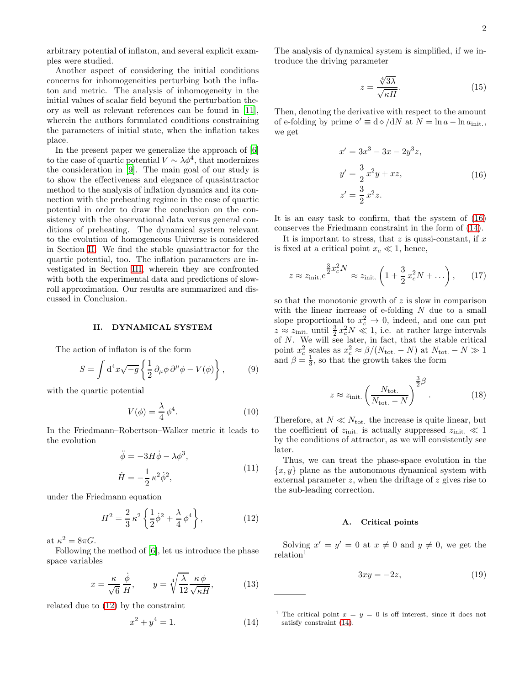arbitrary potential of inflaton, and several explicit examples were studied.

Another aspect of considering the initial conditions concerns for inhomogeneities perturbing both the inflaton and metric. The analysis of inhomogeneity in the initial values of scalar field beyond the perturbation theory as well as relevant references can be found in [\[11\]](#page-7-10), wherein the authors formulated conditions constraining the parameters of initial state, when the inflation takes place.

In the present paper we generalize the approach of [\[6](#page-7-5)] to the case of quartic potential  $V \sim \lambda \phi^4$ , that modernizes the consideration in [\[9](#page-7-8)]. The main goal of our study is to show the effectiveness and elegance of quasiattractor method to the analysis of inflation dynamics and its connection with the preheating regime in the case of quartic potential in order to draw the conclusion on the consistency with the observational data versus general conditions of preheating. The dynamical system relevant to the evolution of homogeneous Universe is considered in Section [II.](#page-1-0) We find the stable quasiattractor for the quartic potential, too. The inflation parameters are investigated in Section [III,](#page-2-0) wherein they are confronted with both the experimental data and predictions of slowroll approximation. Our results are summarized and discussed in Conclusion.

## <span id="page-1-0"></span>II. DYNAMICAL SYSTEM

The action of inflaton is of the form

$$
S = \int d^4x \sqrt{-g} \left\{ \frac{1}{2} \partial_\mu \phi \, \partial^\mu \phi - V(\phi) \right\},\qquad(9)
$$

with the quartic potential

$$
V(\phi) = \frac{\lambda}{4} \phi^4.
$$
 (10)

In the Friedmann–Robertson–Walker metric it leads to the evolution

<span id="page-1-5"></span>
$$
\ddot{\phi} = -3H\dot{\phi} - \lambda\phi^3,
$$
  
\n
$$
\dot{H} = -\frac{1}{2}\kappa^2\dot{\phi}^2,
$$
\n(11)

under the Friedmann equation

<span id="page-1-1"></span>
$$
H^{2} = \frac{2}{3} \kappa^{2} \left\{ \frac{1}{2} \dot{\phi}^{2} + \frac{\lambda}{4} \phi^{4} \right\},
$$
 (12)

at  $\kappa^2 = 8\pi G$ .

Following the method of [\[6](#page-7-5)], let us introduce the phase space variables

$$
x = \frac{\kappa}{\sqrt{6}} \frac{\dot{\phi}}{H}, \qquad y = \sqrt[4]{\frac{\lambda}{12}} \frac{\kappa \phi}{\sqrt{\kappa H}}, \tag{13}
$$

related due to [\(12\)](#page-1-1) by the constraint

<span id="page-1-3"></span>
$$
x^2 + y^4 = 1.\t(14)
$$

The analysis of dynamical system is simplified, if we introduce the driving parameter

$$
z = \frac{\sqrt[4]{3\lambda}}{\sqrt{\kappa H}}.\tag{15}
$$

Then, denoting the derivative with respect to the amount of e-folding by prime  $\diamond' \equiv d \diamond / dN$  at  $N = \ln a - \ln a_{\text{init}}$ , we get

<span id="page-1-2"></span>
$$
x' = 3x3 - 3x - 2y3z,y' = \frac{3}{2}x2y + xz,
$$
  

$$
z' = \frac{3}{2}x2z.
$$
 (16)

It is an easy task to confirm, that the system of [\(16\)](#page-1-2) conserves the Friedmann constraint in the form of [\(14\)](#page-1-3).

It is important to stress, that  $z$  is quasi-constant, if  $x$ is fixed at a critical point  $x_c \ll 1$ , hence,

$$
z \approx z_{\text{init.}} e^{\frac{3}{2}x_c^2 N} \approx z_{\text{init.}} \left( 1 + \frac{3}{2} x_c^2 N + \dots \right), \qquad (17)
$$

so that the monotonic growth of  $z$  is slow in comparison with the linear increase of e-folding  $N$  due to a small slope proportional to  $x_c^2 \rightarrow 0$ , indeed, and one can put  $z \approx z_{\text{init}}$  until  $\frac{3}{2}x_c^2 N \ll 1$ , i.e. at rather large intervals of  $N$ . We will see later, in fact, that the stable critical point  $x_c^2$  scales as  $x_c^2 \approx \beta/(N_{\text{tot.}} - N)$  at  $N_{\text{tot.}} - N \gg 1$ and  $\beta = \frac{1}{3}$ , so that the growth takes the form

$$
z \approx z_{\text{init.}} \left( \frac{N_{\text{tot.}}}{N_{\text{tot.}} - N} \right)^{\frac{3}{2}\beta}.
$$
 (18)

Therefore, at  $N \ll N_{\text{tot}}$ , the increase is quite linear, but the coefficient of  $z_{\text{init}}$  is actually suppressed  $z_{\text{init}} \ll 1$ by the conditions of attractor, as we will consistently see later.

Thus, we can treat the phase-space evolution in the  ${x, y}$  plane as the autonomous dynamical system with external parameter z, when the driftage of z gives rise to the sub-leading correction.

## A. Critical points

Solving  $x' = y' = 0$  at  $x \neq 0$  and  $y \neq 0$ , we get the  $relation<sup>1</sup>$ 

<span id="page-1-4"></span>
$$
3xy = -2z,\t(19)
$$

<sup>1</sup> The critical point  $x = y = 0$  is off interest, since it does not satisfy constraint [\(14\)](#page-1-3).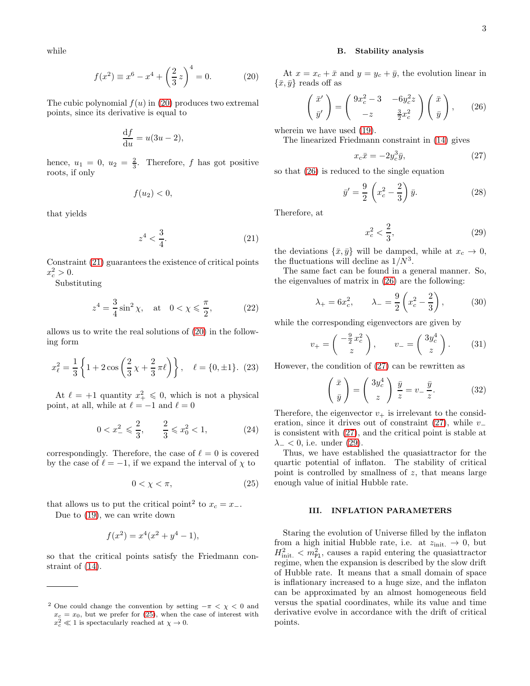while

<span id="page-2-1"></span>
$$
f(x^{2}) \equiv x^{6} - x^{4} + \left(\frac{2}{3}z\right)^{4} = 0.
$$
 (20)

The cubic polynomial  $f(u)$  in [\(20\)](#page-2-1) produces two extremal points, since its derivative is equal to

$$
\frac{\mathrm{d}f}{\mathrm{d}u} = u(3u - 2),
$$

hence,  $u_1 = 0$ ,  $u_2 = \frac{2}{3}$ . Therefore, f has got positive roots, if only

$$
f(u_2) < 0,
$$

that yields

<span id="page-2-2"></span>
$$
z^4 < \frac{3}{4}.\tag{21}
$$

Constraint [\(21\)](#page-2-2) guarantees the existence of critical points  $x_c^2 > 0.$ 

Substituting

$$
z^4 = \frac{3}{4}\sin^2\chi
$$
, at  $0 < \chi \le \frac{\pi}{2}$ , (22)

allows us to write the real solutions of [\(20\)](#page-2-1) in the following form

$$
x_{\ell}^{2} = \frac{1}{3} \left\{ 1 + 2 \cos \left( \frac{2}{3} \chi + \frac{2}{3} \pi \ell \right) \right\}, \quad \ell = \{0, \pm 1\}. \tag{23}
$$

At  $\ell = +1$  quantity  $x_+^2 \leq 0$ , which is not a physical point, at all, while at  $\ell = -1$  and  $\ell = 0$ 

$$
0 < x^2 \leqslant \frac{2}{3}, \qquad \frac{2}{3} \leqslant x^2_0 < 1,\tag{24}
$$

correspondingly. Therefore, the case of  $\ell = 0$  is covered by the case of  $\ell = -1$ , if we expand the interval of  $\chi$  to

<span id="page-2-3"></span>
$$
0 < \chi < \pi,\tag{25}
$$

that allows us to put the critical point<sup>2</sup> to  $x_c = x_-\$ . Due to [\(19\)](#page-1-4), we can write down

$$
f(x^2) = x^4(x^2 + y^4 - 1),
$$

so that the critical points satisfy the Friedmann constraint of [\(14\)](#page-1-3).

## B. Stability analysis

At  $x = x_c + \bar{x}$  and  $y = y_c + \bar{y}$ , the evolution linear in  $\{\bar{x}, \bar{y}\}\$ reads off as

<span id="page-2-4"></span>
$$
\begin{pmatrix} \bar{x}' \\ \bar{y}' \end{pmatrix} = \begin{pmatrix} 9x_c^2 - 3 & -6y_c^2 z \\ -z & \frac{3}{2}x_c^2 \end{pmatrix} \begin{pmatrix} \bar{x} \\ \bar{y} \end{pmatrix}, \qquad (26)
$$

wherein we have used [\(19\)](#page-1-4).

The linearized Friedmann constraint in [\(14\)](#page-1-3) gives

<span id="page-2-5"></span>
$$
x_c \bar{x} = -2y_c^3 \bar{y},\tag{27}
$$

so that [\(26\)](#page-2-4) is reduced to the single equation

$$
\bar{y}' = \frac{9}{2} \left( x_c^2 - \frac{2}{3} \right) \bar{y}.
$$
 (28)

Therefore, at

<span id="page-2-6"></span>
$$
x_c^2 < \frac{2}{3},\tag{29}
$$

the deviations  $\{\bar{x}, \bar{y}\}\$  will be damped, while at  $x_c \to 0$ , the fluctuations will decline as  $1/N^3$ .

The same fact can be found in a general manner. So, the eigenvalues of matrix in [\(26\)](#page-2-4) are the following:

$$
\lambda_{+} = 6x_c^2, \qquad \lambda_{-} = \frac{9}{2} \left( x_c^2 - \frac{2}{3} \right),
$$
\n(30)

while the corresponding eigenvectors are given by

$$
v_{+} = \begin{pmatrix} -\frac{9}{2}x_c^2 \\ z \end{pmatrix}, \qquad v_{-} = \begin{pmatrix} 3y_c^4 \\ z \end{pmatrix}.
$$
 (31)

However, the condition of [\(27\)](#page-2-5) can be rewritten as

$$
\left(\begin{array}{c}\n\bar{x} \\
\bar{y}\n\end{array}\right) = \left(\begin{array}{c}\n3y_c^4 \\
z\n\end{array}\right)\frac{\bar{y}}{z} = v_-\frac{\bar{y}}{z}.\n\tag{32}
$$

Therefore, the eigenvector  $v_+$  is irrelevant to the consideration, since it drives out of constraint  $(27)$ , while  $v_$ is consistent with [\(27\)](#page-2-5), and the critical point is stable at  $\lambda_{-}$  < 0, i.e. under [\(29\)](#page-2-6).

Thus, we have established the quasiattractor for the quartic potential of inflaton. The stability of critical point is controlled by smallness of  $z$ , that means large enough value of initial Hubble rate.

# <span id="page-2-0"></span>III. INFLATION PARAMETERS

Staring the evolution of Universe filled by the inflaton from a high initial Hubble rate, i.e. at  $z_{\text{init.}} \rightarrow 0$ , but  $H_{\text{init.}}^2 < m_{\text{Pl}}^2$ , causes a rapid entering the quasiattractor regime, when the expansion is described by the slow drift of Hubble rate. It means that a small domain of space is inflationary increased to a huge size, and the inflaton can be approximated by an almost homogeneous field versus the spatial coordinates, while its value and time derivative evolve in accordance with the drift of critical points.

<sup>&</sup>lt;sup>2</sup> One could change the convention by setting  $-\pi < \chi < 0$  and  $x_c = x_0$ , but we prefer for [\(25\)](#page-2-3), when the case of interest with  $x_c^2 \ll 1$  is spectacularly reached at  $\chi \to 0$ .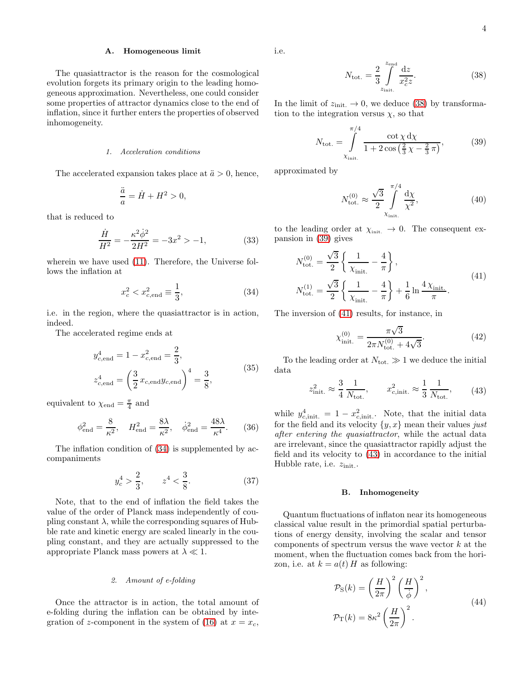#### A. Homogeneous limit

The quasiattractor is the reason for the cosmological evolution forgets its primary origin to the leading homogeneous approximation. Nevertheless, one could consider some properties of attractor dynamics close to the end of inflation, since it further enters the properties of observed inhomogeneity.

## *1. Acceleration conditions*

The accelerated expansion takes place at  $\ddot{a} > 0$ , hence,

$$
\frac{\ddot{a}}{a} = \dot{H} + H^2 > 0,
$$

that is reduced to

$$
\frac{\dot{H}}{H^2} = -\frac{\kappa^2 \dot{\phi}^2}{2H^2} = -3x^2 > -1,
$$
\n(33)

wherein we have used [\(11\)](#page-1-5). Therefore, the Universe follows the inflation at

<span id="page-3-0"></span>
$$
x_c^2 < x_{c,\text{end}}^2 \equiv \frac{1}{3},\tag{34}
$$

i.e. in the region, where the quasiattractor is in action, indeed.

The accelerated regime ends at

$$
y_{c, end}^{4} = 1 - x_{c, end}^{2} = \frac{2}{3},
$$
  
\n
$$
z_{c, end}^{4} = \left(\frac{3}{2} x_{c, end} y_{c, end}\right)^{4} = \frac{3}{8},
$$
\n(35)

equivalent to  $\chi_{\text{end}} = \frac{\pi}{4}$  and

$$
\phi_{\text{end}}^2 = \frac{8}{\kappa^2}, \quad H_{\text{end}}^2 = \frac{8\lambda}{\kappa^2}, \quad \dot{\phi}_{\text{end}}^2 = \frac{48\lambda}{\kappa^4}.
$$
 (36)

The inflation condition of [\(34\)](#page-3-0) is supplemented by accompaniments

$$
y_c^4 > \frac{2}{3}, \qquad z^4 < \frac{3}{8}.\tag{37}
$$

Note, that to the end of inflation the field takes the value of the order of Planck mass independently of coupling constant  $\lambda$ , while the corresponding squares of Hubble rate and kinetic energy are scaled linearly in the coupling constant, and they are actually suppressed to the appropriate Planck mass powers at  $\lambda \ll 1$ .

### *2. Amount of e-folding*

Once the attractor is in action, the total amount of e-folding during the inflation can be obtained by inte-gration of z-component in the system of [\(16\)](#page-1-2) at  $x = x_c$ ,

i.e.

<span id="page-3-1"></span>
$$
N_{\text{tot.}} = \frac{2}{3} \int_{z_{\text{init.}}}^{z_{\text{end}}} \frac{\mathrm{d}z}{x_c^2 z}.
$$
 (38)

In the limit of  $z_{\text{init.}} \to 0$ , we deduce [\(38\)](#page-3-1) by transformation to the integration versus  $\chi$ , so that

<span id="page-3-2"></span>
$$
N_{\text{tot.}} = \int_{\chi_{\text{init.}}}^{\pi/4} \frac{\cot \chi \, \mathrm{d}\chi}{1 + 2\cos\left(\frac{2}{3}\,\chi - \frac{2}{3}\,\pi\right)},\tag{39}
$$

approximated by

$$
N_{\text{tot.}}^{(0)} \approx \frac{\sqrt{3}}{2} \int_{\chi_{\text{init.}}}^{\pi/4} \frac{d\chi}{\chi^2},\tag{40}
$$

to the leading order at  $\chi_{\text{init.}} \to 0$ . The consequent expansion in [\(39\)](#page-3-2) gives

<span id="page-3-3"></span>
$$
N_{\text{tot.}}^{(0)} = \frac{\sqrt{3}}{2} \left\{ \frac{1}{\chi_{\text{init.}}} - \frac{4}{\pi} \right\},
$$
  
\n
$$
N_{\text{tot.}}^{(1)} = \frac{\sqrt{3}}{2} \left\{ \frac{1}{\chi_{\text{init.}}} - \frac{4}{\pi} \right\} + \frac{1}{6} \ln \frac{4 \chi_{\text{init.}}}{\pi}.
$$
\n(41)

The inversion of [\(41\)](#page-3-3) results, for instance, in

<span id="page-3-5"></span>
$$
\chi_{\text{init.}}^{(0)} = \frac{\pi\sqrt{3}}{2\pi N_{\text{tot.}}^{(0)} + 4\sqrt{3}}.\tag{42}
$$

To the leading order at  $N_{\text{tot.}} \gg 1$  we deduce the initial data

<span id="page-3-4"></span>
$$
z_{\text{init.}}^2 \approx \frac{3}{4} \frac{1}{N_{\text{tot.}}}, \qquad x_{c,\text{init.}}^2 \approx \frac{1}{3} \frac{1}{N_{\text{tot.}}}, \qquad (43)
$$

while  $y_{c,\text{init.}}^4 = 1 - x_{c,\text{init.}}^2$ . Note, that the initial data for the field and its velocity  $\{y, x\}$  mean their values just after entering the quasiattractor, while the actual data are irrelevant, since the quasiattractor rapidly adjust the field and its velocity to [\(43\)](#page-3-4) in accordance to the initial Hubble rate, i.e.  $z_{\text{init}}$ .

#### B. Inhomogeneity

Quantum fluctuations of inflaton near its homogeneous classical value result in the primordial spatial perturbations of energy density, involving the scalar and tensor components of spectrum versus the wave vector  $k$  at the moment, when the fluctuation comes back from the horizon, i.e. at  $k = a(t) H$  as following:

$$
\mathcal{P}_{S}(k) = \left(\frac{H}{2\pi}\right)^{2} \left(\frac{H}{\dot{\phi}}\right)^{2},
$$
  

$$
\mathcal{P}_{T}(k) = 8\kappa^{2} \left(\frac{H}{2\pi}\right)^{2}.
$$
 (44)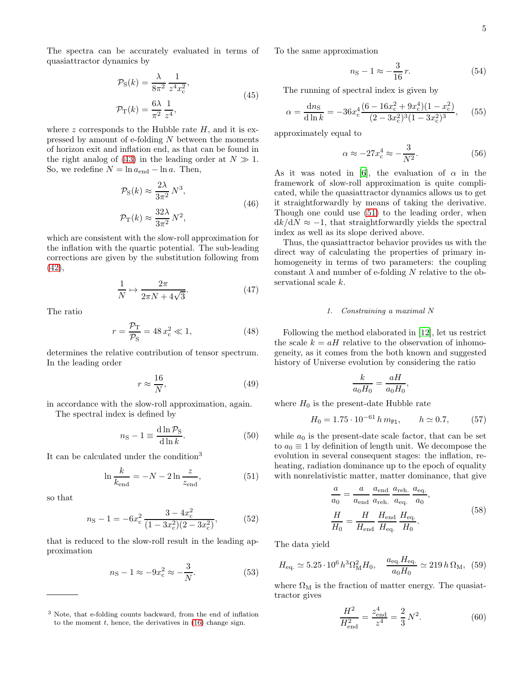The spectra can be accurately evaluated in terms of quasiattractor dynamics by

$$
\mathcal{P}_{S}(k) = \frac{\lambda}{8\pi^2} \frac{1}{z^4 x_c^2},
$$
  
\n
$$
\mathcal{P}_{T}(k) = \frac{6\lambda}{\pi^2} \frac{1}{z^4},
$$
\n(45)

where z corresponds to the Hubble rate  $H$ , and it is expressed by amount of e-folding N between the moments of horizon exit and inflation end, as that can be found in the right analog of [\(43\)](#page-3-4) in the leading order at  $N \gg 1$ . So, we redefine  $N = \ln a_{\text{end}} - \ln a$ . Then,

$$
\mathcal{P}_{S}(k) \approx \frac{2\lambda}{3\pi^2} N^3,
$$
  

$$
\mathcal{P}_{T}(k) \approx \frac{32\lambda}{3\pi^2} N^2,
$$
 (46)

which are consistent with the slow-roll approximation for the inflation with the quartic potential. The sub-leading corrections are given by the substitution following from [\(42\)](#page-3-5),

$$
\frac{1}{N} \mapsto \frac{2\pi}{2\pi N + 4\sqrt{3}}.\tag{47}
$$

The ratio

$$
r = \frac{\mathcal{P}_{\rm T}}{\mathcal{P}_{\rm S}} = 48 x_{\rm c}^2 \ll 1,
$$
 (48)

determines the relative contribution of tensor spectrum. In the leading order

$$
r \approx \frac{16}{N},\tag{49}
$$

in accordance with the slow-roll approximation, again. The spectral index is defined by

 $\overline{11}$  m

$$
n_{\rm S} - 1 \equiv \frac{d \ln \mathcal{V}_{\rm S}}{d \ln k}.\tag{50}
$$

It can be calculated under the condition<sup>3</sup>

<span id="page-4-0"></span>
$$
\ln \frac{k}{k_{\text{end}}} = -N - 2 \ln \frac{z}{z_{\text{end}}},\tag{51}
$$

so that

$$
n_{\rm S} - 1 = -6x_{\rm c}^2 \frac{3 - 4x_{\rm c}^2}{(1 - 3x_{\rm c}^2)(2 - 3x_{\rm c}^2)},\tag{52}
$$

that is reduced to the slow-roll result in the leading approximation

$$
n_{\rm S} - 1 \approx -9x_{\rm c}^2 \approx -\frac{3}{N}.\tag{53}
$$

To the same approximation

$$
n_{\rm S} - 1 \approx -\frac{3}{16}r.\tag{54}
$$

The running of spectral index is given by

$$
\alpha = \frac{\mathrm{d}n_{\mathrm{S}}}{\mathrm{d}\ln k} = -36x_{\mathrm{c}}^4 \frac{(6 - 16x_{\mathrm{c}}^2 + 9x_{\mathrm{c}}^4)(1 - x_{\mathrm{c}}^2)}{(2 - 3x_{\mathrm{c}}^2)^3 (1 - 3x_{\mathrm{c}}^2)^3},\tag{55}
$$

approximately equal to

$$
\alpha \approx -27x_c^4 \approx -\frac{3}{N^2}.\tag{56}
$$

As it was noted in [\[6\]](#page-7-5), the evaluation of  $\alpha$  in the framework of slow-roll approximation is quite complicated, while the quasiattractor dynamics allows us to get it straightforwardly by means of taking the derivative. Though one could use [\(51\)](#page-4-0) to the leading order, when  $dk/dN \approx -1$ , that straightforwardly yields the spectral index as well as its slope derived above.

Thus, the quasiattractor behavior provides us with the direct way of calculating the properties of primary inhomogeneity in terms of two parameters: the coupling constant  $\lambda$  and number of e-folding N relative to the observational scale k.

## *1. Constraining a maximal* N

Following the method elaborated in [\[12](#page-7-11)], let us restrict the scale  $k = aH$  relative to the observation of inhomogeneity, as it comes from the both known and suggested history of Universe evolution by considering the ratio

$$
\frac{k}{a_0H_0} = \frac{aH}{a_0H_0},
$$

where  $H_0$  is the present-date Hubble rate

$$
H_0 = 1.75 \cdot 10^{-61} \, h \, m_{\text{Pl}}, \qquad h \simeq 0.7, \tag{57}
$$

while  $a_0$  is the present-date scale factor, that can be set to  $a_0 \equiv 1$  by definition of length unit. We decompose the evolution in several consequent stages: the inflation, reheating, radiation dominance up to the epoch of equality with nonrelativistic matter, matter dominance, that give

$$
\frac{a}{a_0} = \frac{a}{a_{\text{end}}} \frac{a_{\text{end}}}{a_{\text{reh}}} \frac{a_{\text{reh.}}}{a_{\text{eq}}} \frac{a_{\text{eq.}}}{a_0},
$$
\n
$$
\frac{H}{H_0} = \frac{H}{H_{\text{end}}} \frac{H_{\text{end}}}{H_{\text{eq}}} \frac{H_{\text{eq.}}}{H_0}.
$$
\n(58)

The data yield

$$
H_{\text{eq.}} \simeq 5.25 \cdot 10^6 \, h^3 \Omega_{\text{M}}^2 H_0, \quad \frac{a_{\text{eq.}} H_{\text{eq.}}}{a_0 H_0} \simeq 219 \, h \, \Omega_{\text{M}}, \tag{59}
$$

where  $\Omega_M$  is the fraction of matter energy. The quasiattractor gives

$$
\frac{H^2}{H_{\text{end}}^2} = \frac{z_{\text{end}}^4}{z^4} = \frac{2}{3}N^2.
$$
 (60)

<sup>3</sup> Note, that e-folding counts backward, from the end of inflation to the moment  $t$ , hence, the derivatives in  $(16)$  change sign.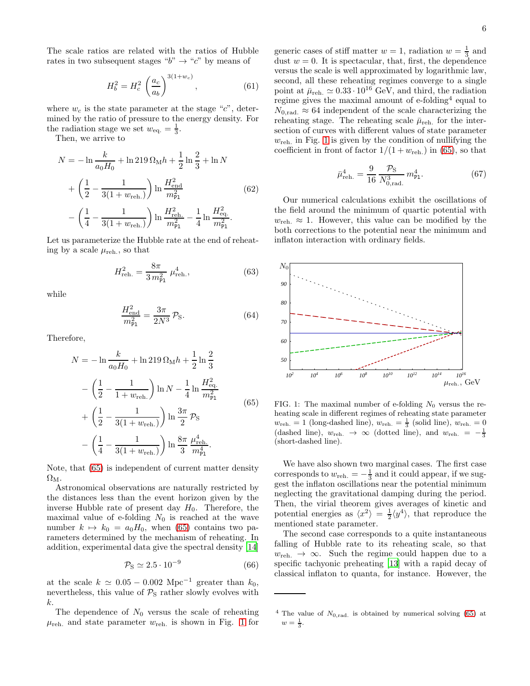$$
H_b^2 = H_c^2 \left(\frac{a_c}{a_b}\right)^{3(1+w_c)},\tag{61}
$$

where  $w_c$  is the state parameter at the stage " $c$ ", determined by the ratio of pressure to the energy density. For the radiation stage we set  $w_{\text{eq.}} = \frac{1}{3}$ .

Then, we arrive to

$$
N = -\ln \frac{k}{a_0 H_0} + \ln 219 \Omega_M h + \frac{1}{2} \ln \frac{2}{3} + \ln N
$$
  
+  $\left(\frac{1}{2} - \frac{1}{3(1 + w_{\text{reh.}})}\right) \ln \frac{H_{\text{end}}^2}{m_{\text{Pl}}^2}$  (62)  
-  $\left(\frac{1}{4} - \frac{1}{3(1 + w_{\text{reh.}})}\right) \ln \frac{H_{\text{reh.}}^2}{m_{\text{Pl}}^2} - \frac{1}{4} \ln \frac{H_{\text{eq.}}^2}{m_{\text{Pl}}^2}.$ 

Let us parameterize the Hubble rate at the end of reheating by a scale  $\mu_{\text{reh.}}$ , so that

$$
H_{\text{reh.}}^2 = \frac{8\pi}{3 \, m_{\text{Pl}}^2} \, \mu_{\text{reh.}}^4,\tag{63}
$$

while

$$
\frac{H_{\text{end}}^2}{m_{\text{Pl}}^2} = \frac{3\pi}{2N^3} \mathcal{P}_{\text{S}}.
$$
 (64)

Therefore,

<span id="page-5-0"></span>
$$
N = -\ln \frac{k}{a_0 H_0} + \ln 219 \Omega_M h + \frac{1}{2} \ln \frac{2}{3}
$$
  
-  $\left(\frac{1}{2} - \frac{1}{1 + w_{\text{reh.}}}\right) \ln N - \frac{1}{4} \ln \frac{H_{\text{eq.}}^2}{m_{\text{Pl}}^2}$   
+  $\left(\frac{1}{2} - \frac{1}{3(1 + w_{\text{reh.}})}\right) \ln \frac{3\pi}{2} \mathcal{P}_{\text{S}}$   
-  $\left(\frac{1}{4} - \frac{1}{3(1 + w_{\text{reh.}})}\right) \ln \frac{8\pi}{3} \frac{\mu_{\text{reh.}}^4}{m_{\text{Pl.}}^4}.$  (65)

Note, that [\(65\)](#page-5-0) is independent of current matter density  $\Omega_{\rm M}$ .

Astronomical observations are naturally restricted by the distances less than the event horizon given by the inverse Hubble rate of present day  $H_0$ . Therefore, the maximal value of e-folding  $N_0$  is reached at the wave number  $k \mapsto k_0 = a_0H_0$ , when [\(65\)](#page-5-0) contains two parameters determined by the mechanism of reheating. In addition, experimental data give the spectral density [\[14](#page-7-12)]

$$
\mathcal{P}_\text{S} \simeq 2.5 \cdot 10^{-9} \tag{66}
$$

at the scale  $k \approx 0.05 - 0.002 \text{ Mpc}^{-1}$  greater than  $k_0$ , nevertheless, this value of  $P<sub>S</sub>$  rather slowly evolves with k.

The dependence of  $N_0$  versus the scale of reheating  $\mu_{\text{reh.}}$  and state parameter  $w_{\text{reh.}}$  is shown in Fig. [1](#page-5-1) for

generic cases of stiff matter  $w = 1$ , radiation  $w = \frac{1}{3}$  and dust  $w = 0$ . It is spectacular, that, first, the dependence versus the scale is well approximated by logarithmic law, second, all these reheating regimes converge to a single point at  $\bar{\mu}_{\text{reh.}} \simeq 0.33 \cdot 10^{16} \text{ GeV, and third, the radiation}$ regime gives the maximal amount of e-folding<sup>4</sup> equal to  $N_{0,rad.} \approx 64$  independent of the scale characterizing the reheating stage. The reheating scale  $\bar{\mu}_{\text{reh.}}$  for the intersection of curves with different values of state parameter  $w_{\text{reh.}}$  in Fig. [1](#page-5-1) is given by the condition of nullifying the coefficient in front of factor  $1/(1+w_{\rm reh.})$  in [\(65\)](#page-5-0), so that

$$
\bar{\mu}_{\text{reh.}}^4 = \frac{9}{16} \frac{\mathcal{P}_{\text{S}}}{N_{0,\text{rad.}}^3} m_{\text{Pl}}^4. \tag{67}
$$

Our numerical calculations exhibit the oscillations of the field around the minimum of quartic potential with  $w_{\text{reh.}} \approx 1$ . However, this value can be modified by the both corrections to the potential near the minimum and inflaton interaction with ordinary fields.



<span id="page-5-1"></span>FIG. 1: The maximal number of e-folding  $N_0$  versus the reheating scale in different regimes of reheating state parameter  $w_{\text{reh.}} = 1$  (long-dashed line),  $w_{\text{reh.}} = \frac{1}{3}$  (solid line),  $w_{\text{reh.}} = 0$ (dashed line),  $w_{\text{reh.}} \rightarrow \infty$  (dotted line), and  $w_{\text{reh.}} = -\frac{1}{3}$ (short-dashed line).

We have also shown two marginal cases. The first case corresponds to  $w_{\text{reh.}} = -\frac{1}{3}$  and it could appear, if we suggest the inflaton oscillations near the potential minimum neglecting the gravitational damping during the period. Then, the virial theorem gives averages of kinetic and potential energies as  $\langle x^2 \rangle = \frac{1}{2} \langle y^4 \rangle$ , that reproduce the mentioned state parameter.

The second case corresponds to a quite instantaneous falling of Hubble rate to its reheating scale, so that  $w_{\text{reh.}} \rightarrow \infty$ . Such the regime could happen due to a specific tachyonic preheating [\[13\]](#page-7-13) with a rapid decay of classical inflaton to quanta, for instance. However, the

<sup>&</sup>lt;sup>4</sup> The value of  $N_{0,rad}$  is obtained by numerical solving [\(65\)](#page-5-0) at  $w = \frac{1}{3}$ .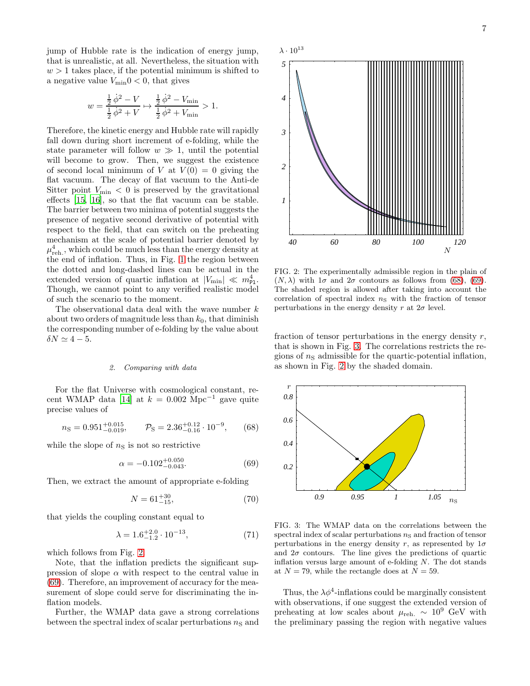jump of Hubble rate is the indication of energy jump, that is unrealistic, at all. Nevertheless, the situation with  $w > 1$  takes place, if the potential minimum is shifted to a negative value  $V_{\text{min}}$  $0 < 0$ , that gives

$$
w = \frac{\frac{1}{2}\dot{\phi}^2 - V}{\frac{1}{2}\dot{\phi}^2 + V} \mapsto \frac{\frac{1}{2}\dot{\phi}^2 - V_{\text{min}}}{\frac{1}{2}\dot{\phi}^2 + V_{\text{min}}} > 1.
$$

Therefore, the kinetic energy and Hubble rate will rapidly fall down during short increment of e-folding, while the state parameter will follow  $w \gg 1$ , until the potential will become to grow. Then, we suggest the existence of second local minimum of V at  $V(0) = 0$  giving the flat vacuum. The decay of flat vacuum to the Anti-de Sitter point  $V_{\text{min}} < 0$  is preserved by the gravitational effects [\[15](#page-7-14), [16\]](#page-7-15), so that the flat vacuum can be stable. The barrier between two minima of potential suggests the presence of negative second derivative of potential with respect to the field, that can switch on the preheating mechanism at the scale of potential barrier denoted by  $\mu^4_{\rm reh.}$ , which could be much less than the energy density at the end of inflation. Thus, in Fig. [1](#page-5-1) the region between the dotted and long-dashed lines can be actual in the extended version of quartic inflation at  $|V_{\text{min}}| \ll m_{\text{Pl}}^4$ . Though, we cannot point to any verified realistic model of such the scenario to the moment.

The observational data deal with the wave number  $k$ about two orders of magnitude less than  $k_0$ , that diminish the corresponding number of e-folding by the value about  $\delta N \simeq 4-5$ .

## *2. Comparing with data*

For the flat Universe with cosmological constant, re-cent WMAP data [\[14\]](#page-7-12) at  $k = 0.002$  Mpc<sup>-1</sup> gave quite precise values of

<span id="page-6-2"></span>
$$
n_{\rm S} = 0.951^{+0.015}_{-0.019}, \qquad \mathcal{P}_{\rm S} = 2.36^{+0.12}_{-0.16} \cdot 10^{-9}, \qquad (68)
$$

while the slope of  $n<sub>S</sub>$  is not so restrictive

<span id="page-6-1"></span>
$$
\alpha = -0.102^{+0.050}_{-0.043}.\tag{69}
$$

Then, we extract the amount of appropriate e-folding

$$
N = 61^{+30}_{-15},\tag{70}
$$

that yields the coupling constant equal to

$$
\lambda = 1.6^{+2.0}_{-1.2} \cdot 10^{-13},\tag{71}
$$

which follows from Fig. [2.](#page-6-0)

Note, that the inflation predicts the significant suppression of slope  $\alpha$  with respect to the central value in [\(69\)](#page-6-1). Therefore, an improvement of accuracy for the measurement of slope could serve for discriminating the inflation models.

Further, the WMAP data gave a strong correlations between the spectral index of scalar perturbations  $n<sub>S</sub>$  and



<span id="page-6-0"></span>FIG. 2: The experimentally admissible region in the plain of  $(N, \lambda)$  with  $1\sigma$  and  $2\sigma$  contours as follows from [\(68\)](#page-6-2), [\(69\)](#page-6-1). The shaded region is allowed after taking into account the correlation of spectral index  $n<sub>S</sub>$  with the fraction of tensor perturbations in the energy density r at  $2\sigma$  level.

fraction of tensor perturbations in the energy density  $r$ , that is shown in Fig. [3.](#page-6-3) The correlations restricts the regions of  $n<sub>S</sub>$  admissible for the quartic-potential inflation, as shown in Fig. [2](#page-6-0) by the shaded domain.



<span id="page-6-3"></span>FIG. 3: The WMAP data on the correlations between the spectral index of scalar perturbations  $n<sub>S</sub>$  and fraction of tensor perturbations in the energy density r, as represented by  $1\sigma$ and  $2\sigma$  contours. The line gives the predictions of quartic inflation versus large amount of e-folding  $N$ . The dot stands at  $N = 79$ , while the rectangle does at  $N = 59$ .

Thus, the  $\lambda \phi^4$ -inflations could be marginally consistent with observations, if one suggest the extended version of preheating at low scales about  $\mu_{\text{reh.}} \sim 10^9$  GeV with the preliminary passing the region with negative values